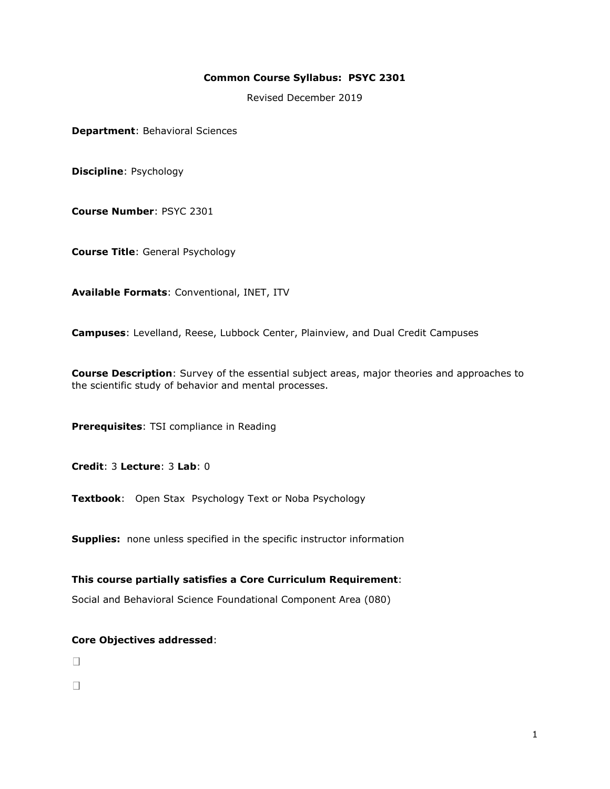### **Common Course Syllabus: PSYC 2301**

Revised December 2019

**Department**: Behavioral Sciences

**Discipline**: Psychology

**Course Number**: PSYC 2301

**Course Title**: General Psychology

**Available Formats**: Conventional, INET, ITV

**Campuses**: Levelland, Reese, Lubbock Center, Plainview, and Dual Credit Campuses

**Course Description**: Survey of the essential subject areas, major theories and approaches to the scientific study of behavior and mental processes.

**Prerequisites**: TSI compliance in Reading

**Credit**: 3 **Lecture**: 3 **Lab**: 0

**Textbook**: Open Stax Psychology Text or Noba Psychology

**Supplies:** none unless specified in the specific instructor information

**This course partially satisfies a Core Curriculum Requirement**:

Social and Behavioral Science Foundational Component Area (080)

### **Core Objectives addressed**:

 $\Box$ 

 $\Box$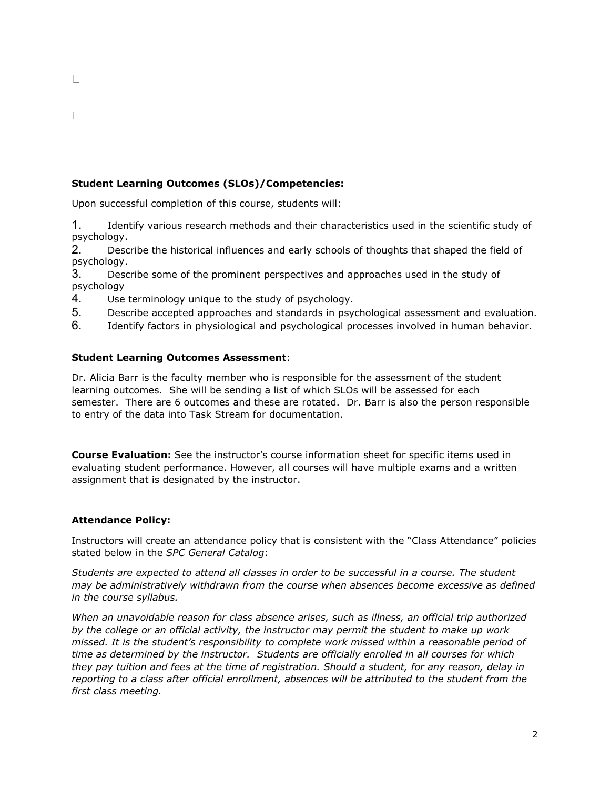$\Box$ 

# **Student Learning Outcomes (SLOs)/Competencies:**

Upon successful completion of this course, students will:

1. Identify various research methods and their characteristics used in the scientific study of psychology.

2. Describe the historical influences and early schools of thoughts that shaped the field of psychology.

3. Describe some of the prominent perspectives and approaches used in the study of psychology

- 4. Use terminology unique to the study of psychology.
- 5. Describe accepted approaches and standards in psychological assessment and evaluation.
- 6. Identify factors in physiological and psychological processes involved in human behavior.

## **Student Learning Outcomes Assessment**:

Dr. Alicia Barr is the faculty member who is responsible for the assessment of the student learning outcomes. She will be sending a list of which SLOs will be assessed for each semester. There are 6 outcomes and these are rotated. Dr. Barr is also the person responsible to entry of the data into Task Stream for documentation.

**Course Evaluation:** See the instructor's course information sheet for specific items used in evaluating student performance. However, all courses will have multiple exams and a written assignment that is designated by the instructor.

## **Attendance Policy:**

Instructors will create an attendance policy that is consistent with the "Class Attendance" policies stated below in the *SPC General Catalog*:

*Students are expected to attend all classes in order to be successful in a course. The student may be administratively withdrawn from the course when absences become excessive as defined in the course syllabus.*

*When an unavoidable reason for class absence arises, such as illness, an official trip authorized by the college or an official activity, the instructor may permit the student to make up work missed. It is the student's responsibility to complete work missed within a reasonable period of time as determined by the instructor. Students are officially enrolled in all courses for which they pay tuition and fees at the time of registration. Should a student, for any reason, delay in reporting to a class after official enrollment, absences will be attributed to the student from the first class meeting.*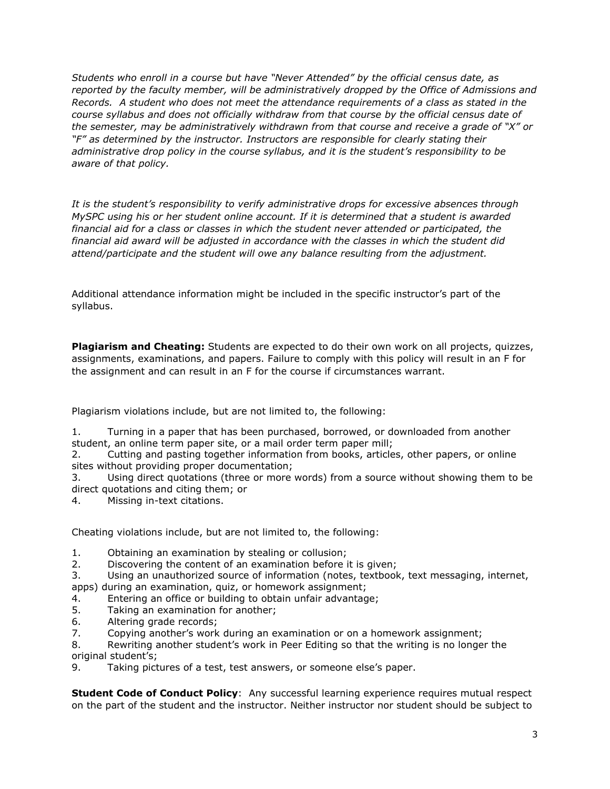*Students who enroll in a course but have "Never Attended" by the official census date, as reported by the faculty member, will be administratively dropped by the Office of Admissions and Records. A student who does not meet the attendance requirements of a class as stated in the course syllabus and does not officially withdraw from that course by the official census date of the semester, may be administratively withdrawn from that course and receive a grade of "X" or "F" as determined by the instructor. Instructors are responsible for clearly stating their administrative drop policy in the course syllabus, and it is the student's responsibility to be aware of that policy.* 

*It is the student's responsibility to verify administrative drops for excessive absences through MySPC using his or her student online account. If it is determined that a student is awarded financial aid for a class or classes in which the student never attended or participated, the financial aid award will be adjusted in accordance with the classes in which the student did attend/participate and the student will owe any balance resulting from the adjustment.*

Additional attendance information might be included in the specific instructor's part of the syllabus.

**Plagiarism and Cheating:** Students are expected to do their own work on all projects, quizzes, assignments, examinations, and papers. Failure to comply with this policy will result in an F for the assignment and can result in an F for the course if circumstances warrant.

Plagiarism violations include, but are not limited to, the following:

1. Turning in a paper that has been purchased, borrowed, or downloaded from another student, an online term paper site, or a mail order term paper mill;

2. Cutting and pasting together information from books, articles, other papers, or online sites without providing proper documentation;

3. Using direct quotations (three or more words) from a source without showing them to be direct quotations and citing them; or

4. Missing in-text citations.

Cheating violations include, but are not limited to, the following:

1. Obtaining an examination by stealing or collusion;

- 2. Discovering the content of an examination before it is given;
- 3. Using an unauthorized source of information (notes, textbook, text messaging, internet,

apps) during an examination, quiz, or homework assignment;

- 4. Entering an office or building to obtain unfair advantage;
- 5. Taking an examination for another;
- 6. Altering grade records;
- 7. Copying another's work during an examination or on a homework assignment;

8. Rewriting another student's work in Peer Editing so that the writing is no longer the original student's;

9. Taking pictures of a test, test answers, or someone else's paper.

**Student Code of Conduct Policy:** Any successful learning experience requires mutual respect on the part of the student and the instructor. Neither instructor nor student should be subject to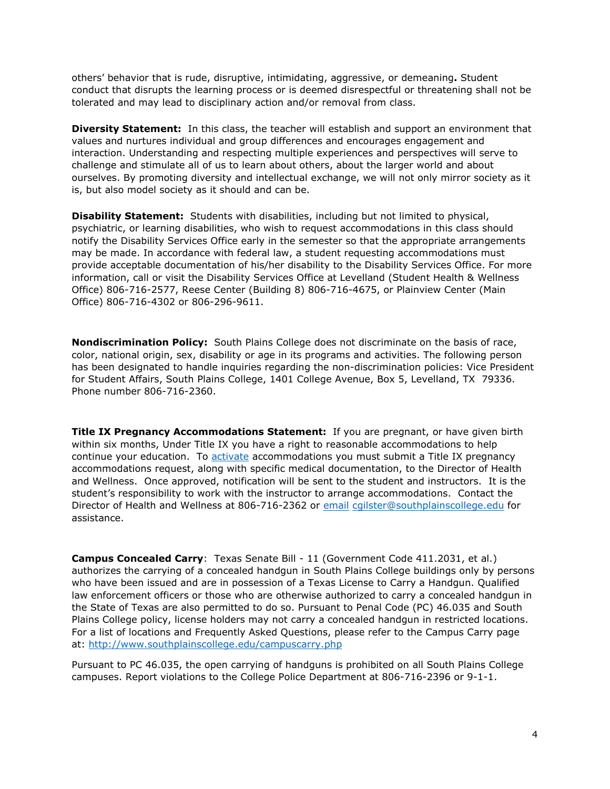others' behavior that is rude, disruptive, intimidating, aggressive, or demeaning**.** Student conduct that disrupts the learning process or is deemed disrespectful or threatening shall not be tolerated and may lead to disciplinary action and/or removal from class.

**Diversity Statement:** In this class, the teacher will establish and support an environment that values and nurtures individual and group differences and encourages engagement and interaction. Understanding and respecting multiple experiences and perspectives will serve to challenge and stimulate all of us to learn about others, about the larger world and about ourselves. By promoting diversity and intellectual exchange, we will not only mirror society as it is, but also model society as it should and can be.

**Disability Statement:** Students with disabilities, including but not limited to physical, psychiatric, or learning disabilities, who wish to request accommodations in this class should notify the Disability Services Office early in the semester so that the appropriate arrangements may be made. In accordance with federal law, a student requesting accommodations must provide acceptable documentation of his/her disability to the Disability Services Office. For more information, call or visit the Disability Services Office at Levelland (Student Health & Wellness Office) 806-716-2577, Reese Center (Building 8) 806-716-4675, or Plainview Center (Main Office) 806-716-4302 or 806-296-9611.

**Nondiscrimination Policy:** South Plains College does not discriminate on the basis of race, color, national origin, sex, disability or age in its programs and activities. The following person has been designated to handle inquiries regarding the non-discrimination policies: Vice President for Student Affairs, South Plains College, 1401 College Avenue, Box 5, Levelland, TX 79336. Phone number 806-716-2360.

**Title IX Pregnancy Accommodations Statement:** If you are pregnant, or have given birth within six months, Under Title IX you have a right to reasonable accommodations to help continue your education. To [activate](http://www.southplainscollege.edu/employees/manualshandbooks/facultyhandbook/sec4.php) accommodations you must submit a Title IX pregnancy accommodations request, along with specific medical documentation, to the Director of Health and Wellness. Once approved, notification will be sent to the student and instructors. It is the student's responsibility to work with the instructor to arrange accommodations. Contact the Director of Health and Wellness at 806-716-2362 or [email](http://www.southplainscollege.edu/employees/manualshandbooks/facultyhandbook/sec4.php) [cgilster@southplainscollege.edu](mailto:cgilster@southplainscollege.edu) for assistance.

**Campus Concealed Carry**: Texas Senate Bill - 11 (Government Code 411.2031, et al.) authorizes the carrying of a concealed handgun in South Plains College buildings only by persons who have been issued and are in possession of a Texas License to Carry a Handgun. Qualified law enforcement officers or those who are otherwise authorized to carry a concealed handgun in the State of Texas are also permitted to do so. Pursuant to Penal Code (PC) 46.035 and South Plains College policy, license holders may not carry a concealed handgun in restricted locations. For a list of locations and Frequently Asked Questions, please refer to the Campus Carry page at: <http://www.southplainscollege.edu/campuscarry.php>

Pursuant to PC 46.035, the open carrying of handguns is prohibited on all South Plains College campuses. Report violations to the College Police Department at 806-716-2396 or 9-1-1.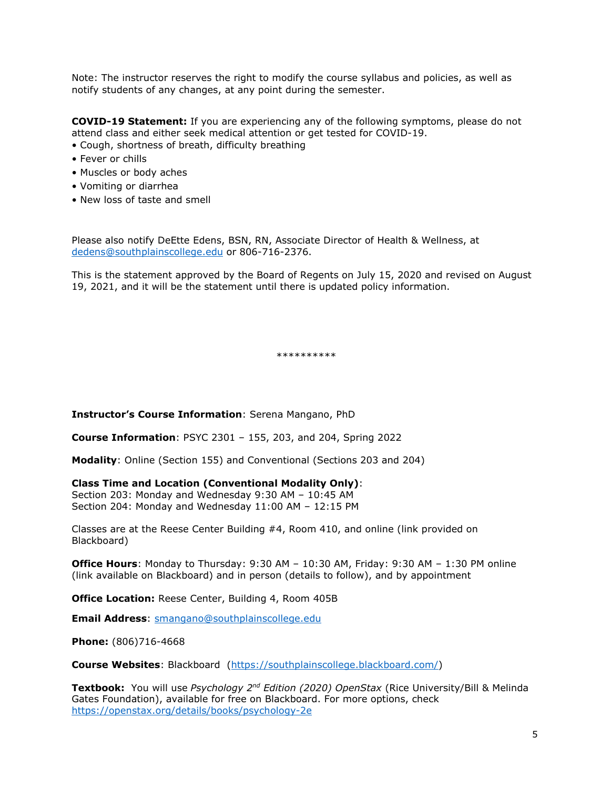Note: The instructor reserves the right to modify the course syllabus and policies, as well as notify students of any changes, at any point during the semester.

**COVID-19 Statement:** If you are experiencing any of the following symptoms, please do not attend class and either seek medical attention or get tested for COVID-19.

- Cough, shortness of breath, difficulty breathing
- Fever or chills
- Muscles or body aches
- Vomiting or diarrhea
- New loss of taste and smell

Please also notify DeEtte Edens, BSN, RN, Associate Director of Health & Wellness, at [dedens@southplainscollege.edu](mailto:dedens@southplainscollege.edu) or 806-716-2376.

This is the statement approved by the Board of Regents on July 15, 2020 and revised on August 19, 2021, and it will be the statement until there is updated policy information.

\*\*\*\*\*\*\*\*\*\*

**Instructor's Course Information**: Serena Mangano, PhD

**Course Information**: PSYC 2301 – 155, 203, and 204, Spring 2022

**Modality**: Online (Section 155) and Conventional (Sections 203 and 204)

### **Class Time and Location (Conventional Modality Only)**:

Section 203: Monday and Wednesday 9:30 AM – 10:45 AM Section 204: Monday and Wednesday 11:00 AM – 12:15 PM

Classes are at the Reese Center Building #4, Room 410, and online (link provided on Blackboard)

**Office Hours**: Monday to Thursday: 9:30 AM – 10:30 AM, Friday: 9:30 AM – 1:30 PM online (link available on Blackboard) and in person (details to follow), and by appointment

**Office Location:** Reese Center, Building 4, Room 405B

**Email Address**: [smangano@southplainscollege.edu](mailto:smangano@southplainscollege.edu)

**Phone:** (806)716-4668

**Course Websites**: Blackboard [\(https://southplainscollege.blackboard.com/\)](https://southplainscollege.blackboard.com/)

**Textbook:** You will use *Psychology 2nd Edition (2020) OpenStax* (Rice University/Bill & Melinda Gates Foundation), available for free on Blackboard. For more options, check <https://openstax.org/details/books/psychology-2e>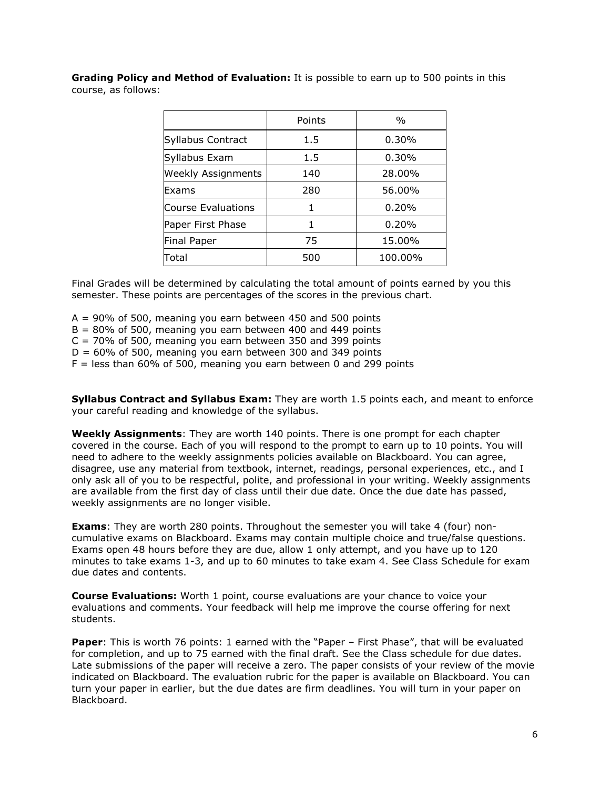**Grading Policy and Method of Evaluation:** It is possible to earn up to 500 points in this course, as follows:

|                           | Points | $\frac{0}{0}$ |
|---------------------------|--------|---------------|
| Syllabus Contract         | 1.5    | 0.30%         |
| Syllabus Exam             | 1.5    | 0.30%         |
| <b>Weekly Assignments</b> | 140    | 28.00%        |
| Exams                     | 280    | 56.00%        |
| Course Evaluations        |        | 0.20%         |
| Paper First Phase         |        | 0.20%         |
| <b>Final Paper</b>        | 75     | 15.00%        |
| Total                     | 500    | 100.00%       |

Final Grades will be determined by calculating the total amount of points earned by you this semester. These points are percentages of the scores in the previous chart.

 $A = 90\%$  of 500, meaning you earn between 450 and 500 points

 $B = 80\%$  of 500, meaning you earn between 400 and 449 points

 $C = 70\%$  of 500, meaning you earn between 350 and 399 points

 $D = 60\%$  of 500, meaning you earn between 300 and 349 points

 $F =$  less than 60% of 500, meaning you earn between 0 and 299 points

**Syllabus Contract and Syllabus Exam:** They are worth 1.5 points each, and meant to enforce your careful reading and knowledge of the syllabus.

**Weekly Assignments**: They are worth 140 points. There is one prompt for each chapter covered in the course. Each of you will respond to the prompt to earn up to 10 points. You will need to adhere to the weekly assignments policies available on Blackboard. You can agree, disagree, use any material from textbook, internet, readings, personal experiences, etc., and I only ask all of you to be respectful, polite, and professional in your writing. Weekly assignments are available from the first day of class until their due date. Once the due date has passed, weekly assignments are no longer visible.

**Exams**: They are worth 280 points. Throughout the semester you will take 4 (four) noncumulative exams on Blackboard. Exams may contain multiple choice and true/false questions. Exams open 48 hours before they are due, allow 1 only attempt, and you have up to 120 minutes to take exams 1-3, and up to 60 minutes to take exam 4. See Class Schedule for exam due dates and contents.

**Course Evaluations:** Worth 1 point, course evaluations are your chance to voice your evaluations and comments. Your feedback will help me improve the course offering for next students.

**Paper**: This is worth 76 points: 1 earned with the "Paper – First Phase", that will be evaluated for completion, and up to 75 earned with the final draft. See the Class schedule for due dates. Late submissions of the paper will receive a zero. The paper consists of your review of the movie indicated on Blackboard. The evaluation rubric for the paper is available on Blackboard. You can turn your paper in earlier, but the due dates are firm deadlines. You will turn in your paper on Blackboard.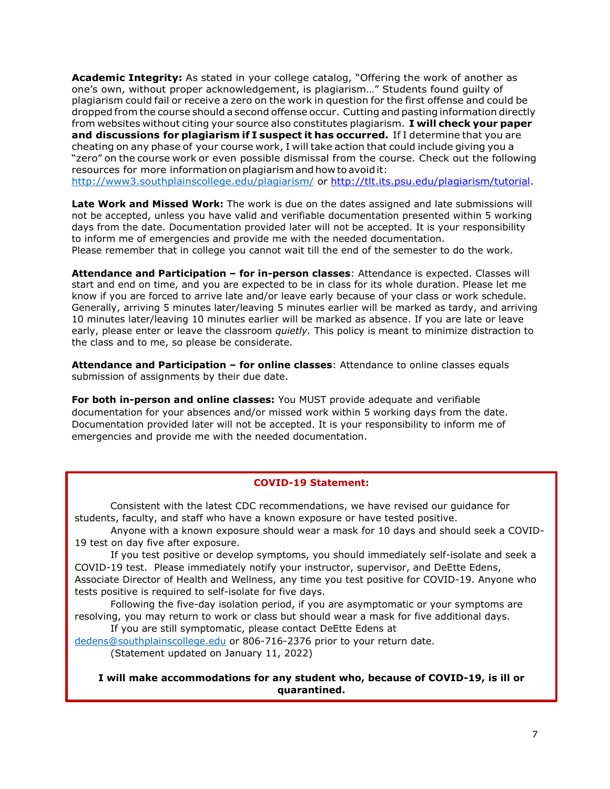**Academic Integrity:** As stated in your college catalog, "Offering the work of another as one's own, without proper acknowledgement, is plagiarism…" Students found guilty of plagiarism could fail or receive a zero on the work in question for the first offense and could be dropped from the course should a second offense occur. Cutting and pasting information directly from websites without citing your source also constitutes plagiarism. **I will check your paper and discussions for plagiarism if I suspect it has occurred.** If I determine that you are cheating on any phase of your course work, I will take action that could include giving you a "zero" on the course work or even possible dismissal from the course. Check out the following resources for more information on plagiarism and how to avoid it: <http://www3.southplainscollege.edu/plagiarism/> or [http://tlt.its.psu.edu/plagiarism/tutorial.](http://tlt.its.psu.edu/plagiarism/tutorial)

**Late Work and Missed Work:** The work is due on the dates assigned and late submissions will not be accepted, unless you have valid and verifiable documentation presented within 5 working days from the date. Documentation provided later will not be accepted. It is your responsibility to inform me of emergencies and provide me with the needed documentation. Please remember that in college you cannot wait till the end of the semester to do the work.

**Attendance and Participation – for in-person classes**: Attendance is expected. Classes will start and end on time, and you are expected to be in class for its whole duration. Please let me know if you are forced to arrive late and/or leave early because of your class or work schedule. Generally, arriving 5 minutes later/leaving 5 minutes earlier will be marked as tardy, and arriving 10 minutes later/leaving 10 minutes earlier will be marked as absence. If you are late or leave early, please enter or leave the classroom *quietly.* This policy is meant to minimize distraction to the class and to me, so please be considerate.

**Attendance and Participation – for online classes**: Attendance to online classes equals submission of assignments by their due date.

**For both in-person and online classes:** You MUST provide adequate and verifiable documentation for your absences and/or missed work within 5 working days from the date. Documentation provided later will not be accepted. It is your responsibility to inform me of emergencies and provide me with the needed documentation.

#### **COVID-19 Statement:**

Consistent with the latest CDC recommendations, we have revised our guidance for students, faculty, and staff who have a known exposure or have tested positive.

Anyone with a known exposure should wear a mask for 10 days and should seek a COVID-19 test on day five after exposure.

If you test positive or develop symptoms, you should immediately self-isolate and seek a COVID-19 test. Please immediately notify your instructor, supervisor, and DeEtte Edens, Associate Director of Health and Wellness, any time you test positive for COVID-19. Anyone who tests positive is required to self-isolate for five days.

Following the five-day isolation period, if you are asymptomatic or your symptoms are resolving, you may return to work or class but should wear a mask for five additional days.

If you are still symptomatic, please contact DeEtte Edens at

[dedens@southplainscollege.edu](mailto:dedens@southplainscollege.edu) or 806-716-2376 prior to your return date. (Statement updated on January 11, 2022)

**I will make accommodations for any student who, because of COVID-19, is ill or quarantined.**